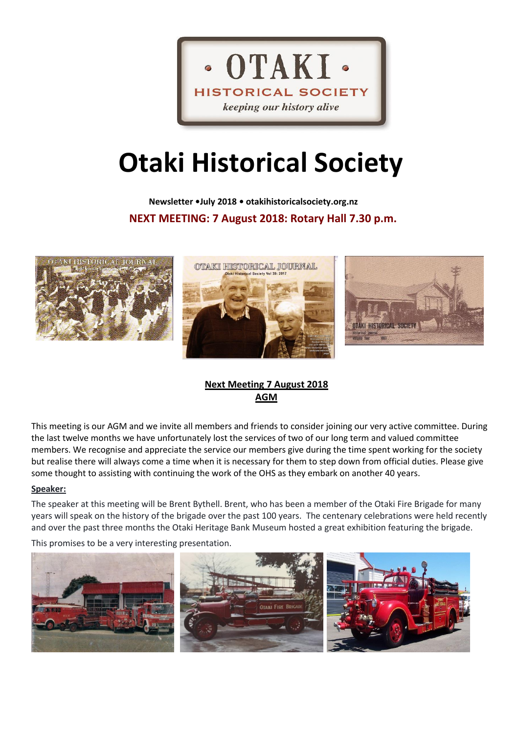

# **Otaki Historical Society**

 **Newsletter •July 2018 • otakihistoricalsociety.org.nz NEXT MEETING: 7 August 2018: Rotary Hall 7.30 p.m.**



# **Next Meeting 7 August 2018 AGM**

This meeting is our AGM and we invite all members and friends to consider joining our very active committee. During the last twelve months we have unfortunately lost the services of two of our long term and valued committee members. We recognise and appreciate the service our members give during the time spent working for the society but realise there will always come a time when it is necessary for them to step down from official duties. Please give some thought to assisting with continuing the work of the OHS as they embark on another 40 years.

#### **Speaker:**

The speaker at this meeting will be Brent Bythell. Brent, who has been a member of the Otaki Fire Brigade for many years will speak on the history of the brigade over the past 100 years. The centenary celebrations were held recently and over the past three months the Otaki Heritage Bank Museum hosted a great exhibition featuring the brigade.

This promises to be a very interesting presentation.

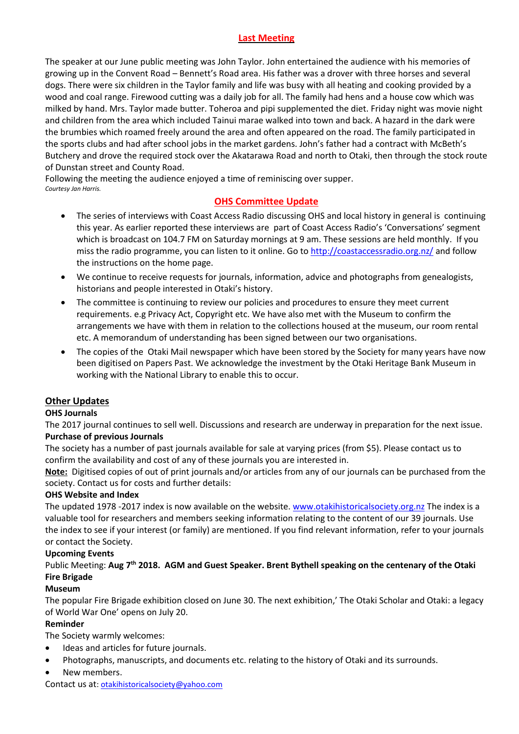# **Last Meeting**

The speaker at our June public meeting was John Taylor. John entertained the audience with his memories of growing up in the Convent Road – Bennett's Road area. His father was a drover with three horses and several dogs. There were six children in the Taylor family and life was busy with all heating and cooking provided by a wood and coal range. Firewood cutting was a daily job for all. The family had hens and a house cow which was milked by hand. Mrs. Taylor made butter. Toheroa and pipi supplemented the diet. Friday night was movie night and children from the area which included Tainui marae walked into town and back. A hazard in the dark were the brumbies which roamed freely around the area and often appeared on the road. The family participated in the sports clubs and had after school jobs in the market gardens. John's father had a contract with McBeth's Butchery and drove the required stock over the Akatarawa Road and north to Otaki, then through the stock route of Dunstan street and County Road.

Following the meeting the audience enjoyed a time of reminiscing over supper. *Courtesy Jan Harris.*

# **OHS Committee Update**

- The series of interviews with Coast Access Radio discussing OHS and local history in general is continuing this year. As earlier reported these interviews are part of Coast Access Radio's 'Conversations' segment which is broadcast on 104.7 FM on Saturday mornings at 9 am. These sessions are held monthly. If you miss the radio programme, you can listen to it online. Go t[o http://coastaccessradio.org.nz/](http://coastaccessradio.org.nz/) and follow the instructions on the home page.
- We continue to receive requests for journals, information, advice and photographs from genealogists, historians and people interested in Otaki's history.
- The committee is continuing to review our policies and procedures to ensure they meet current requirements. e.g Privacy Act, Copyright etc. We have also met with the Museum to confirm the arrangements we have with them in relation to the collections housed at the museum, our room rental etc. A memorandum of understanding has been signed between our two organisations.
- The copies of the Otaki Mail newspaper which have been stored by the Society for many years have now been digitised on Papers Past. We acknowledge the investment by the Otaki Heritage Bank Museum in working with the National Library to enable this to occur.

# **Other Updates**

# **OHS Journals**

The 2017 journal continues to sell well. Discussions and research are underway in preparation for the next issue. **Purchase of previous Journals**

The society has a number of past journals available for sale at varying prices (from \$5). Please contact us to confirm the availability and cost of any of these journals you are interested in.

**Note:** Digitised copies of out of print journals and/or articles from any of our journals can be purchased from the society. Contact us for costs and further details:

# **OHS Website and Index**

The updated 1978 -2017 index is now available on the website. [www.otakihistoricalsociety.org.nz](http://www.otakihistoricalsociety.org.nz/) The index is a valuable tool for researchers and members seeking information relating to the content of our 39 journals. Use the index to see if your interest (or family) are mentioned. If you find relevant information, refer to your journals or contact the Society.

#### **Upcoming Events**

# Public Meeting: **Aug 7th 2018. AGM and Guest Speaker. Brent Bythell speaking on the centenary of the Otaki Fire Brigade**

# **Museum**

The popular Fire Brigade exhibition closed on June 30. The next exhibition,' The Otaki Scholar and Otaki: a legacy of World War One' opens on July 20.

# **Reminder**

The Society warmly welcomes:

- Ideas and articles for future journals.
- Photographs, manuscripts, and documents etc. relating to the history of Otaki and its surrounds.
- New members.

Contact us at[: otakihistoricalsociety@yahoo.com](mailto:otakihistoricalsociety@yahoo.com)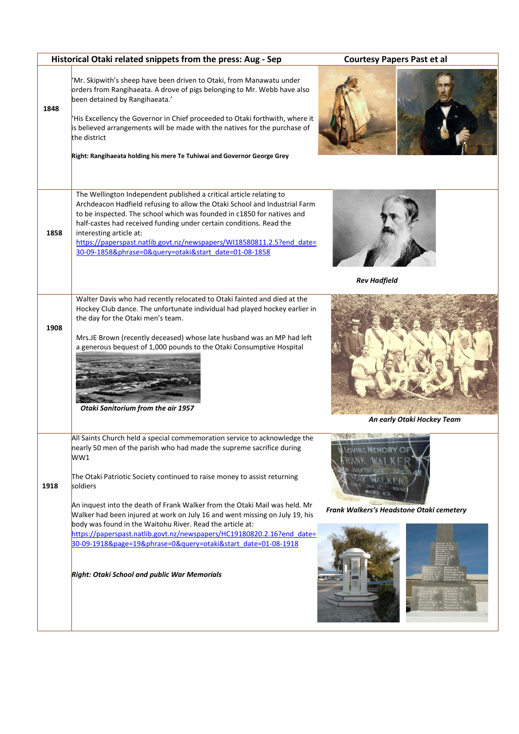|      | Historical Otaki related snippets from the press: Aug - Sep                                                                                                                                                                                                                                                                                                                                                                                                                                                                                                                                                                                                            | <b>Courtesy Papers Past et al</b>                         |  |  |
|------|------------------------------------------------------------------------------------------------------------------------------------------------------------------------------------------------------------------------------------------------------------------------------------------------------------------------------------------------------------------------------------------------------------------------------------------------------------------------------------------------------------------------------------------------------------------------------------------------------------------------------------------------------------------------|-----------------------------------------------------------|--|--|
| 1848 | 'Mr. Skipwith's sheep have been driven to Otaki, from Manawatu under<br>orders from Rangihaeata. A drove of pigs belonging to Mr. Webb have also<br>been detained by Rangihaeata.'<br>'His Excellency the Governor in Chief proceeded to Otaki forthwith, where it<br>is believed arrangements will be made with the natives for the purchase of<br>the district<br>Right: Rangihaeata holding his mere Te Tuhiwai and Governor George Grey                                                                                                                                                                                                                            |                                                           |  |  |
| 1858 | The Wellington Independent published a critical article relating to<br>Archdeacon Hadfield refusing to allow the Otaki School and Industrial Farm<br>to be inspected. The school which was founded in c1850 for natives and<br>half-castes had received funding under certain conditions. Read the<br>interesting article at:<br>https://paperspast.natlib.govt.nz/newspapers/WI18580811.2.5?end_date=<br>30-09-1858&phrase=0&query=otaki&start date=01-08-1858                                                                                                                                                                                                        | <b>Rev Hadfield</b>                                       |  |  |
| 1908 | Walter Davis who had recently relocated to Otaki fainted and died at the<br>Hockey Club dance. The unfortunate individual had played hockey earlier in<br>the day for the Otaki men's team.<br>Mrs.JE Brown (recently deceased) whose late husband was an MP had left<br>a generous bequest of 1,000 pounds to the Otaki Consumptive Hospital<br>Otaki Sanitorium from the air 1957                                                                                                                                                                                                                                                                                    | An early Otaki Hockey Team                                |  |  |
| 1918 | All Saints Church held a special commemoration service to acknowledge the<br>nearly 50 men of the parish who had made the supreme sacrifice during<br>WW1<br>The Otaki Patriotic Society continued to raise money to assist returning<br>soldiers<br>An inquest into the death of Frank Walker from the Otaki Mail was held. Mr<br>Walker had been injured at work on July 16 and went missing on July 19, his<br>body was found in the Waitohu River. Read the article at:<br>https://paperspast.natlib.govt.nz/newspapers/HC19180820.2.16?end date=<br>30-09-1918&page=19&phrase=0&query=otaki&start date=01-08-1918<br>Right: Otaki School and public War Memorials | <b>MEMORY</b><br>Frank Walkers's Headstone Otaki cemetery |  |  |